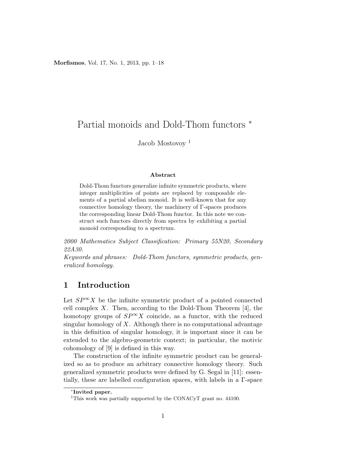Morfismos, Vol. 17, No. 1, 2013, pp. 1–18

# Partial monoids and Dold-Thom functors <sup>∗</sup>

Jacob Mostovoy<sup>1</sup>

#### Abstract

Dold-Thom functors generalize infinite symmetric products, where integer multiplicities of points are replaced by composable elements of a partial abelian monoid. It is well-known that for any connective homology theory, the machinery of Γ-spaces produces the corresponding linear Dold-Thom functor. In this note we construct such functors directly from spectra by exhibiting a partial monoid corresponding to a spectrum.

2000 Mathematics Subject Classification: Primary 55N20, Secondary 22A30.

Keywords and phrases: Dold-Thom functors, symmetric products, generalized homology.

# 1 Introduction

Let  $SP^{\infty}X$  be the infinite symmetric product of a pointed connected cell complex  $X$ . Then, according to the Dold-Thom Theorem [4], the homotopy groups of  $SP^{\infty}X$  coincide, as a functor, with the reduced singular homology of  $X$ . Although there is no computational advantage in this definition of singular homology, it is important since it can be extended to the algebro-geometric context; in particular, the motivic cohomology of [9] is defined in this way.

The construction of the infinite symmetric product can be generalized so as to produce an arbitrary connective homology theory. Such generalized symmetric products were defined by G. Segal in [11]: essentially, these are labelled configuration spaces, with labels in a Γ-space

<sup>∗</sup> Invited paper.

<sup>&</sup>lt;sup>1</sup>This work was partially supported by the CONACyT grant no. 44100.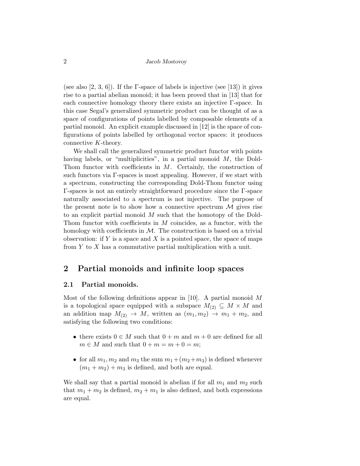(see also [2, 3, 6]). If the  $\Gamma$ -space of labels is injective (see [13]) it gives rise to a partial abelian monoid; it has been proved that in [13] that for each connective homology theory there exists an injective Γ-space. In this case Segal's generalized symmetric product can be thought of as a space of configurations of points labelled by composable elements of a partial monoid. An explicit example discussed in [12] is the space of configurations of points labelled by orthogonal vector spaces: it produces connective K-theory.

We shall call the generalized symmetric product functor with points having labels, or "multiplicities", in a partial monoid  $M$ , the Dold-Thom functor with coefficients in M. Certainly, the construction of such functors via Γ-spaces is most appealing. However, if we start with a spectrum, constructing the corresponding Dold-Thom functor using Γ-spaces is not an entirely straightforward procedure since the Γ-space naturally associated to a spectrum is not injective. The purpose of the present note is to show how a connective spectrum  $\mathcal M$  gives rise to an explicit partial monoid M such that the homotopy of the Dold-Thom functor with coefficients in  $M$  coincides, as a functor, with the homology with coefficients in  $\mathcal M$ . The construction is based on a trivial observation: if  $Y$  is a space and  $X$  is a pointed space, the space of maps from  $Y$  to  $X$  has a commutative partial multiplication with a unit.

# 2 Partial monoids and infinite loop spaces

### 2.1 Partial monoids.

Most of the following definitions appear in [10]. A partial monoid  $M$ is a topological space equipped with a subspace  $M_{(2)} \subseteq M \times M$  and an addition map  $M_{(2)} \rightarrow M$ , written as  $(m_1, m_2) \rightarrow m_1 + m_2$ , and satisfying the following two conditions:

- there exists  $0 \in M$  such that  $0 + m$  and  $m + 0$  are defined for all  $m \in M$  and such that  $0 + m = m + 0 = m$ ;
- for all  $m_1, m_2$  and  $m_3$  the sum  $m_1 + (m_2+m_3)$  is defined whenever  $(m_1 + m_2) + m_3$  is defined, and both are equal.

We shall say that a partial monoid is abelian if for all  $m_1$  and  $m_2$  such that  $m_1 + m_2$  is defined,  $m_2 + m_1$  is also defined, and both expressions are equal.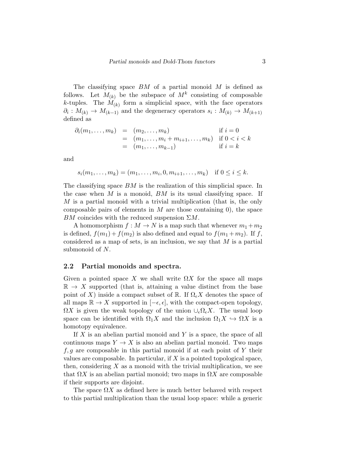The classifying space  $BM$  of a partial monoid  $M$  is defined as follows. Let  $M_{(k)}$  be the subspace of  $M^k$  consisting of composable k-tuples. The  $M_{(k)}$  form a simplicial space, with the face operators  $\partial_i: M_{(k)} \to M_{(k-1)}$  and the degeneracy operators  $s_i: M_{(k)} \to M_{(k+1)}$ defined as

$$
\partial_i(m_1, \dots, m_k) = (m_2, \dots, m_k) \quad \text{if } i = 0
$$
  
=  $(m_1, \dots, m_i + m_{i+1}, \dots, m_k) \quad \text{if } 0 < i < k$   
=  $(m_1, \dots, m_{k-1}) \quad \text{if } i = k$ 

and

$$
s_i(m_1,...,m_k) = (m_1,...,m_i,0,m_{i+1},...,m_k)
$$
 if  $0 \le i \le k$ .

The classifying space  $BM$  is the realization of this simplicial space. In the case when  $M$  is a monoid,  $BM$  is its usual classifying space. If M is a partial monoid with a trivial multiplication (that is, the only composable pairs of elements in  $M$  are those containing 0), the space BM coincides with the reduced suspension  $\Sigma M$ .

A homomorphism  $f : M \to N$  is a map such that whenever  $m_1 + m_2$ is defined,  $f(m_1) + f(m_2)$  is also defined and equal to  $f(m_1 + m_2)$ . If f, considered as a map of sets, is an inclusion, we say that  $M$  is a partial submonoid of N.

### 2.2 Partial monoids and spectra.

Given a pointed space X we shall write  $\Omega X$  for the space all maps  $\mathbb{R} \to X$  supported (that is, attaining a value distinct from the base point of X) inside a compact subset of R. If  $\Omega_{\epsilon}$ X denotes the space of all maps  $\mathbb{R} \to X$  supported in  $[-\epsilon, \epsilon]$ , with the compact-open topology,  $\Omega X$  is given the weak topology of the union  $\cup_{\epsilon} \Omega_{\epsilon} X$ . The usual loop space can be identified with  $\Omega_1 X$  and the inclusion  $\Omega_1 X \hookrightarrow \Omega X$  is a homotopy equivalence.

If  $X$  is an abelian partial monoid and  $Y$  is a space, the space of all continuous maps  $Y \to X$  is also an abelian partial monoid. Two maps  $f, g$  are composable in this partial monoid if at each point of Y their values are composable. In particular, if  $X$  is a pointed topological space, then, considering  $X$  as a monoid with the trivial multiplication, we see that  $\Omega X$  is an abelian partial monoid; two maps in  $\Omega X$  are composable if their supports are disjoint.

The space  $\Omega X$  as defined here is much better behaved with respect to this partial multiplication than the usual loop space: while a generic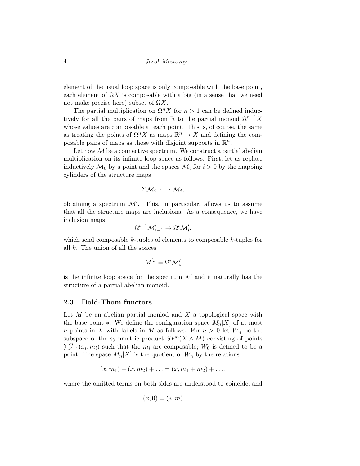element of the usual loop space is only composable with the base point, each element of  $\Omega X$  is composable with a big (in a sense that we need not make precise here) subset of  $\Omega X$ .

The partial multiplication on  $\Omega^n X$  for  $n > 1$  can be defined inductively for all the pairs of maps from R to the partial monoid  $\Omega^{n-1}X$ whose values are composable at each point. This is, of course, the same as treating the points of  $\Omega^n X$  as maps  $\mathbb{R}^n \to X$  and defining the composable pairs of maps as those with disjoint supports in  $\mathbb{R}^n$ .

Let now  $\mathcal M$  be a connective spectrum. We construct a partial abelian multiplication on its infinite loop space as follows. First, let us replace inductively  $\mathcal{M}_0$  by a point and the spaces  $\mathcal{M}_i$  for  $i > 0$  by the mapping cylinders of the structure maps

$$
\Sigma \mathcal{M}_{i-1} \to \mathcal{M}_i,
$$

obtaining a spectrum  $\mathcal{M}'$ . This, in particular, allows us to assume that all the structure maps are inclusions. As a consequence, we have inclusion maps

$$
\Omega^{i-1} \mathcal{M}'_{i-1} \to \Omega^i \mathcal{M}'_i,
$$

which send composable  $k$ -tuples of elements to composable  $k$ -tuples for all  $k$ . The union of all the spaces

$$
M^{[i]} = \Omega^i \mathcal{M}'_i
$$

is the infinite loop space for the spectrum  $\mathcal M$  and it naturally has the structure of a partial abelian monoid.

## 2.3 Dold-Thom functors.

Let  $M$  be an abelian partial moniod and  $X$  a topological space with the base point ∗. We define the configuration space  $M_n[X]$  of at most n points in X with labels in M as follows. For  $n > 0$  let  $W_n$  be the subspace of the symmetric product  $SP<sup>n</sup>(X \wedge M)$  consisting of points  $\sum_{i=1}^{n}(x_i, m_i)$  such that the  $m_i$  are composable;  $W_0$  is defined to be a point. The space  $M_n[X]$  is the quotient of  $W_n$  by the relations

$$
(x, m1) + (x, m2) + ... = (x, m1 + m2) + ... ,
$$

where the omitted terms on both sides are understood to coincide, and

$$
(x,0)=(\ast,m)
$$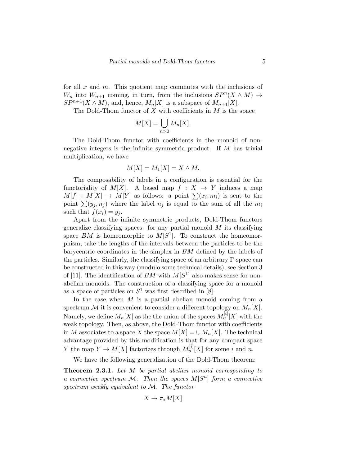for all  $x$  and  $m$ . This quotient map commutes with the inclusions of W<sub>n</sub> into  $W_{n+1}$  coming, in turn, from the inclusions  $SP^{n}(X \wedge M) \rightarrow$  $SP^{n+1}(X \wedge M)$ , and, hence,  $M_n[X]$  is a subspace of  $M_{n+1}[X]$ .

The Dold-Thom functor of  $X$  with coefficients in  $M$  is the space

$$
M[X] = \bigcup_{n>0} M_n[X].
$$

The Dold-Thom functor with coefficients in the monoid of nonnegative integers is the infinite symmetric product. If  $M$  has trivial multiplication, we have

$$
M[X] = M_1[X] = X \wedge M.
$$

The composability of labels in a configuration is essential for the functoriality of  $M[X]$ . A based map  $f : X \rightarrow Y$  induces a map  $M[f] : M[X] \to M[Y]$  as follows: a point  $\sum_i (x_i, m_i)$  is sent to the point  $\sum(y_i, n_i)$  where the label  $n_i$  is equal to the sum of all the  $m_i$ such that  $f(x_i) = y_i$ .

Apart from the infinite symmetric products, Dold-Thom functors generalize classifying spaces: for any partial monoid  $M$  its classifying space  $BM$  is homeomorphic to  $M[S^1]$ . To construct the homeomorphism, take the lengths of the intervals between the particles to be the barycentric coordinates in the simplex in BM defined by the labels of the particles. Similarly, the classifying space of an arbitrary Γ-space can be constructed in this way (modulo some technical details), see Section 3 of [11]. The identification of  $BM$  with  $M[S^1]$  also makes sense for nonabelian monoids. The construction of a classifying space for a monoid as a space of particles on  $S^1$  was first described in [8].

In the case when  $M$  is a partial abelian monoid coming from a spectrum M it is convenient to consider a different topology on  $M_n[X]$ . Namely, we define  $M_n[X]$  as the the union of the spaces  $M_n^{[i]}[X]$  with the weak topology. Then, as above, the Dold-Thom functor with coefficients in M associates to a space X the space  $M[X] = \bigcup M_n[X]$ . The technical advantage provided by this modification is that for any compact space Y the map  $Y \to M[X]$  factorizes through  $M_n^{[i]}[X]$  for some i and n.

We have the following generalization of the Dold-Thom theorem:

**Theorem 2.3.1.** Let M be partial abelian monoid corresponding to a connective spectrum M. Then the spaces  $M[S<sup>n</sup>]$  form a connective spectrum weakly equivalent to M. The functor

$$
X \to \pi_*M[X]
$$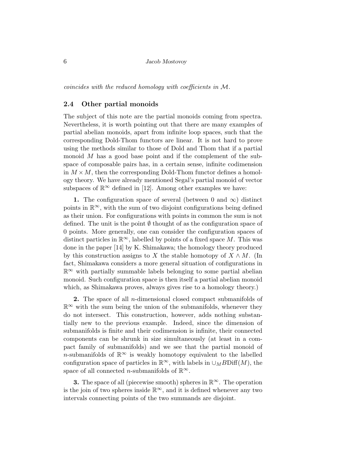coincides with the reduced homology with coefficients in M.

### 2.4 Other partial monoids

The subject of this note are the partial monoids coming from spectra. Nevertheless, it is worth pointing out that there are many examples of partial abelian monoids, apart from infinite loop spaces, such that the corresponding Dold-Thom functors are linear. It is not hard to prove using the methods similar to those of Dold and Thom that if a partial monoid M has a good base point and if the complement of the subspace of composable pairs has, in a certain sense, infinite codimension in  $M \times M$ , then the corresponding Dold-Thom functor defines a homology theory. We have already mentioned Segal's partial monoid of vector subspaces of  $\mathbb{R}^{\infty}$  defined in [12]. Among other examples we have:

1. The configuration space of several (between 0 and  $\infty$ ) distinct points in  $\mathbb{R}^{\infty}$ , with the sum of two disjoint configurations being defined as their union. For configurations with points in common the sum is not defined. The unit is the point  $\emptyset$  thought of as the configuration space of 0 points. More generally, one can consider the configuration spaces of distinct particles in  $\mathbb{R}^{\infty}$ , labelled by points of a fixed space M. This was done in the paper [14] by K. Shimakawa; the homology theory produced by this construction assigns to X the stable homotopy of  $X \wedge M$ . (In fact, Shimakawa considers a more general situation of configurations in  $\mathbb{R}^{\infty}$  with partially summable labels belonging to some partial abelian monoid. Such configuration space is then itself a partial abelian monoid which, as Shimakawa proves, always gives rise to a homology theory.)

2. The space of all *n*-dimensional closed compact submanifolds of  $\mathbb{R}^{\infty}$  with the sum being the union of the submanifolds, whenever they do not intersect. This construction, however, adds nothing substantially new to the previous example. Indeed, since the dimension of submanifolds is finite and their codimension is infinite, their connected components can be shrunk in size simultaneously (at least in a compact family of submanifolds) and we see that the partial monoid of n-submanifolds of  $\mathbb{R}^{\infty}$  is weakly homotopy equivalent to the labelled configuration space of particles in  $\mathbb{R}^{\infty}$ , with labels in  $\cup_M BD$ iff $(M)$ , the space of all connected *n*-submanifolds of  $\mathbb{R}^{\infty}$ .

**3.** The space of all (piecewise smooth) spheres in  $\mathbb{R}^{\infty}$ . The operation is the join of two spheres inside  $\mathbb{R}^{\infty}$ , and it is defined whenever any two intervals connecting points of the two summands are disjoint.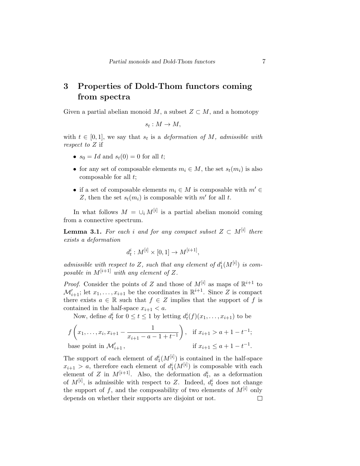# 3 Properties of Dold-Thom functors coming from spectra

Given a partial abelian monoid M, a subset  $Z \subset M$ , and a homotopy

$$
s_t: M \to M,
$$

with  $t \in [0,1]$ , we say that  $s_t$  is a deformation of M, admissible with respect to Z if

- $s_0 = Id$  and  $s_t(0) = 0$  for all t;
- for any set of composable elements  $m_i \in M$ , the set  $s_t(m_i)$  is also composable for all t;
- if a set of composable elements  $m_i \in M$  is composable with  $m' \in$ Z, then the set  $s_t(m_i)$  is composable with m' for all t.

In what follows  $M = \bigcup_i M^{[i]}$  is a partial abelian monoid coming from a connective spectrum.

**Lemma 3.1.** For each i and for any compact subset  $Z \subset M^{[i]}$  there exists a deformation

$$
d_t^i : M^{[i]} \times [0,1] \to M^{[i+1]},
$$

admissible with respect to Z, such that any element of  $d_1^i(M^{[i]})$  is composable in  $M^{[i+1]}$  with any element of Z.

*Proof.* Consider the points of Z and those of  $M^{[i]}$  as maps of  $\mathbb{R}^{i+1}$  to  $\mathcal{M}'_{i+1}$ ; let  $x_1, \ldots, x_{i+1}$  be the coordinates in  $\mathbb{R}^{i+1}$ . Since Z is compact there exists  $a \in \mathbb{R}$  such that  $f \in \mathbb{Z}$  implies that the support of f is contained in the half-space  $x_{i+1} < a$ .

Now, define  $d_t^i$  for  $0 \le t \le 1$  by letting  $d_t^i(f)(x_1, \ldots, x_{i+1})$  to be

$$
f\left(x_1, \ldots, x_i, x_{i+1} - \frac{1}{x_{i+1} - a - 1 + t^{-1}}\right), \quad \text{if } x_{i+1} > a + 1 - t^{-1};
$$
  
base point in  $\mathcal{M}'_{i+1}$ , if  $x_{i+1} \le a + 1 - t^{-1}$ .

The support of each element of  $d_1^i(M^{[i]})$  is contained in the half-space  $x_{i+1} > a$ , therefore each element of  $d_1^i(M^{[i]})$  is composable with each element of Z in  $M^{[i+1]}$ . Also, the deformation  $d_t^i$ , as a deformation of  $M^{[i]}$ , is admissible with respect to Z. Indeed,  $d_t^i$  does not change the support of f, and the composability of two elements of  $M^{[i]}$  only depends on whether their supports are disjoint or not. $\Box$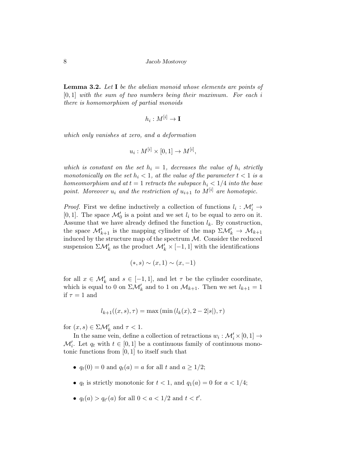**Lemma 3.2.** Let  $I$  be the abelian monoid whose elements are points of  $[0, 1]$  with the sum of two numbers being their maximum. For each i there is homomorphism of partial monoids

$$
h_i:M^{[i]}\to \textbf{I}
$$

which only vanishes at zero, and a deformation

$$
u_i: M^{[i]} \times [0,1] \to M^{[i]},
$$

which is constant on the set  $h_i = 1$ , decreases the value of  $h_i$  strictly monotonically on the set  $h_i < 1$ , at the value of the parameter  $t < 1$  is a homeomorphism and at  $t = 1$  retracts the subspace  $h_i < 1/4$  into the base point. Moreover  $u_i$  and the restriction of  $u_{i+1}$  to  $M^{[i]}$  are homotopic.

*Proof.* First we define inductively a collection of functions  $l_i : \mathcal{M}'_i \rightarrow$ [0, 1]. The space  $\mathcal{M}'_0$  is a point and we set  $l_i$  to be equal to zero on it. Assume that we have already defined the function  $l_k$ . By construction, the space  $\mathcal{M}'_{k+1}$  is the mapping cylinder of the map  $\Sigma \mathcal{M}'_k \to \mathcal{M}_{k+1}$ induced by the structure map of the spectrum  $M$ . Consider the reduced suspension  $\Sigma \mathcal{M}'_k$  as the product  $\mathcal{M}'_k \times [-1,1]$  with the identifications

$$
(*,s)\sim(x,1)\sim(x,-1)
$$

for all  $x \in \mathcal{M}'_k$  and  $s \in [-1,1]$ , and let  $\tau$  be the cylinder coordinate, which is equal to 0 on  $\Sigma \mathcal{M}'_k$  and to 1 on  $\mathcal{M}_{k+1}$ . Then we set  $l_{k+1} = 1$ if  $\tau = 1$  and

$$
l_{k+1}((x,s),\tau) = \max(\min(l_k(x),2-2|s|),\tau)
$$

for  $(x, s) \in \Sigma \mathcal{M}'_k$  and  $\tau < 1$ .

In the same vein, define a collection of retractions  $w_i : \mathcal{M}'_i \times [0,1] \to$  $\mathcal{M}'_i$ . Let  $q_t$  with  $t \in [0,1]$  be a continuous family of continuous monotonic functions from [0, 1] to itself such that

- $q_t(0) = 0$  and  $q_t(a) = a$  for all t and  $a \geq 1/2$ ;
- $q_t$  is strictly monotonic for  $t < 1$ , and  $q_1(a) = 0$  for  $a < 1/4$ ;
- $q_t(a) > q_{t'}(a)$  for all  $0 < a < 1/2$  and  $t < t'$ .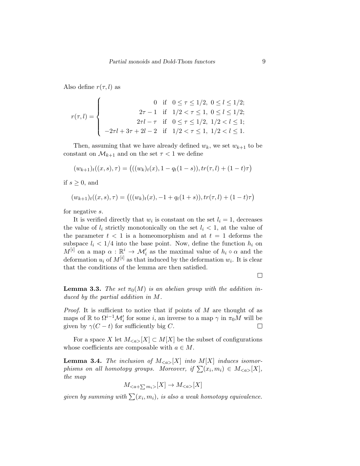Also define  $r(\tau, l)$  as

$$
r(\tau, l) = \begin{cases} 0 & \text{if } 0 \le \tau \le 1/2, \ 0 \le l \le 1/2; \\ 2\tau - 1 & \text{if } 1/2 < \tau \le 1, \ 0 \le l \le 1/2; \\ 2\tau l - \tau & \text{if } 0 \le \tau \le 1/2, \ 1/2 < l \le 1; \\ -2\tau l + 3\tau + 2l - 2 & \text{if } 1/2 < \tau \le 1, \ 1/2 < l \le 1. \end{cases}
$$

Then, assuming that we have already defined  $w_k$ , we set  $w_{k+1}$  to be constant on  $\mathcal{M}_{k+1}$  and on the set  $\tau < 1$  we define

$$
(w_{k+1})_t((x,s),\tau) = (((w_k)_t(x),1-q_t(1-s)),tr(\tau,l)+(1-t)\tau)
$$

if  $s \geq 0$ , and

$$
(w_{k+1})_t((x,s),\tau) = (((w_k)_t(x), -1 + q_t(1+s)), tr(\tau, l) + (1-t)\tau)
$$

for negative s.

It is verified directly that  $w_i$  is constant on the set  $l_i = 1$ , decreases the value of  $l_i$  strictly monotonically on the set  $l_i < 1$ , at the value of the parameter  $t < 1$  is a homeomorphism and at  $t = 1$  deforms the subspace  $l_i < 1/4$  into the base point. Now, define the function  $h_i$  on  $M^{[i]}$  on a map  $\alpha : \mathbb{R}^i \to \mathcal{M}'_i$  as the maximal value of  $h_i \circ \alpha$  and the deformation  $u_i$  of  $M^{[i]}$  as that induced by the deformation  $w_i$ . It is clear that the conditions of the lemma are then satisfied.

 $\Box$ 

**Lemma 3.3.** The set  $\pi_0(M)$  is an abelian group with the addition induced by the partial addition in M.

*Proof.* It is sufficient to notice that if points of  $M$  are thought of as maps of  $\mathbb R$  to  $\Omega^{i-1} \mathcal M_i'$  for some *i*, an inverse to a map  $\gamma$  in  $\pi_0 M$  will be given by  $\gamma(C-t)$  for sufficiently big C.  $\Box$ 

For a space X let  $M_{\leq a>}[X] \subset M[X]$  be the subset of configurations whose coefficients are composable with  $a \in M$ .

**Lemma 3.4.** The inclusion of  $M_{\leq a>}[X]$  into  $M[X]$  induces isomorphisms on all homotopy groups. Moreover, if  $\sum (x_i, m_i) \in M_{\leq a >}[X],$ the map

$$
M_{}[X]\to M_{}\[X\]
$$

given by summing with  $\sum(x_i, m_i)$ , is also a weak homotopy equivalence.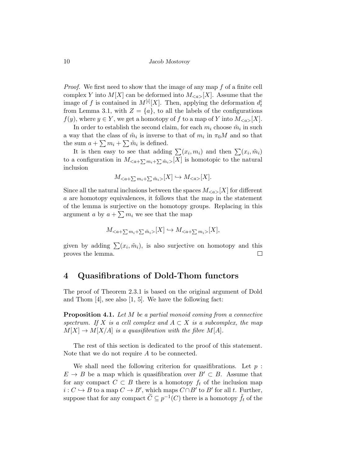Proof. We first need to show that the image of any map f of a finite cell complex Y into  $M[X]$  can be deformed into  $M_{\leq a>}[X]$ . Assume that the image of f is contained in  $M^{[i]}[X]$ . Then, applying the deformation  $d_t^i$ from Lemma 3.1, with  $Z = \{a\}$ , to all the labels of the configurations  $f(y)$ , where  $y \in Y$ , we get a homotopy of f to a map of Y into  $M_{\leq a>}[X]$ .

In order to establish the second claim, for each  $m_i$  choose  $\tilde{m}_i$  in such a way that the class of  $\tilde{m}_i$  is inverse to that of  $m_i$  in  $\pi_0 M$  and so that the sum  $a + \sum m_i + \sum \tilde{m}_i$  is defined.

It is then easy to see that adding  $\sum_i (x_i, m_i)$  and then  $\sum_i (x_i, \tilde{m}_i)$ to a configuration in  $M_{\langle a+\sum m_i+\sum \tilde{m}_i\rangle}[X]$  is homotopic to the natural inclusion

$$
M_{\le a+\sum m_i+\sum \tilde m_i>}[X] \hookrightarrow M_{\le a>}[X].
$$

Since all the natural inclusions between the spaces  $M_{\leq a>}[X]$  for different a are homotopy equivalences, it follows that the map in the statement of the lemma is surjective on the homotopy groups. Replacing in this argument a by  $a + \sum m_i$  we see that the map

$$
M_{\leq a+\sum m_i+\sum \tilde{m}_i>}[X] \hookrightarrow M_{\leq a+\sum m_i>}[X],
$$

given by adding  $\sum_i (x_i, \tilde{m}_i)$ , is also surjective on homotopy and this proves the lemma.  $\Box$ 

## 4 Quasifibrations of Dold-Thom functors

The proof of Theorem 2.3.1 is based on the original argument of Dold and Thom [4], see also [1, 5]. We have the following fact:

**Proposition 4.1.** Let  $M$  be a partial monoid coming from a connective spectrum. If X is a cell complex and  $A \subset X$  is a subcomplex, the map  $M[X] \to M[X/A]$  is a quasifibration with the fibre  $M[A]$ .

The rest of this section is dedicated to the proof of this statement. Note that we do not require A to be connected.

We shall need the following criterion for quasifibrations. Let  $p$ :  $E \to B$  be a map which is quasifibration over  $B' \subset B$ . Assume that for any compact  $C \subset B$  there is a homotopy  $f_t$  of the inclusion map  $i: C \hookrightarrow B$  to a map  $C \to B'$ , which maps  $C \cap B'$  to  $B'$  for all t. Further, suppose that for any compact  $\widetilde{C} \subseteq p^{-1}(C)$  there is a homotopy  $\widetilde{f}_t$  of the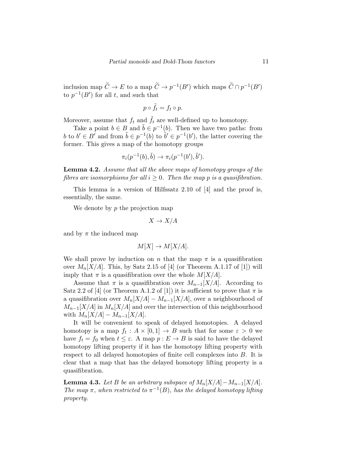inclusion map  $\widetilde{C} \to E$  to a map  $\widetilde{C} \to p^{-1}(B')$  which maps  $\widetilde{C} \cap p^{-1}(B')$ to  $p^{-1}(B')$  for all t, and such that

$$
p \circ \tilde{f}_t = f_t \circ p.
$$

Moreover, assume that  $f_t$  and  $\tilde{f}_t$  are well-defined up to homotopy.

Take a point  $b \in B$  and  $\tilde{b} \in p^{-1}(b)$ . Then we have two paths: from b to  $b' \in B'$  and from  $\tilde{b} \in p^{-1}(b)$  to  $\tilde{b}' \in p^{-1}(b')$ , the latter covering the former. This gives a map of the homotopy groups

$$
\pi_i(p^{-1}(b),\tilde{b}) \to \pi_i(p^{-1}(b'),\tilde{b}').
$$

Lemma 4.2. Assume that all the above maps of homotopy groups of the fibres are isomorphisms for all  $i \geq 0$ . Then the map p is a quasifibration.

This lemma is a version of Hilfssatz 2.10 of [4] and the proof is, essentially, the same.

We denote by  $p$  the projection map

$$
X \to X/A
$$

and by  $\pi$  the induced map

$$
M[X] \to M[X/A].
$$

We shall prove by induction on n that the map  $\pi$  is a quasifibration over  $M_n[X/A]$ . This, by Satz 2.15 of [4] (or Theorem A.1.17 of [1]) will imply that  $\pi$  is a quasifibration over the whole  $M[X/A]$ .

Assume that  $\pi$  is a quasifibration over  $M_{n-1}[X/A]$ . According to Satz 2.2 of [4] (or Theorem A.1.2 of [1]) it is sufficient to prove that  $\pi$  is a quasifibration over  $M_n[X/A] - M_{n-1}[X/A]$ , over a neighbourhood of  $M_{n-1}[X/A]$  in  $M_n[X/A]$  and over the intersection of this neighbourhood with  $M_n[X/A] - M_{n-1}[X/A]$ .

It will be convenient to speak of delayed homotopies. A delayed homotopy is a map  $f_t: A \times [0,1] \to B$  such that for some  $\varepsilon > 0$  we have  $f_t = f_0$  when  $t \leq \varepsilon$ . A map  $p : E \to B$  is said to have the delayed homotopy lifting property if it has the homotopy lifting property with respect to all delayed homotopies of finite cell complexes into B. It is clear that a map that has the delayed homotopy lifting property is a quasifibration.

**Lemma 4.3.** Let B be an arbitrary subspace of  $M_n[X/A]-M_{n-1}[X/A]$ . The map  $\pi$ , when restricted to  $\pi^{-1}(B)$ , has the delayed homotopy lifting property.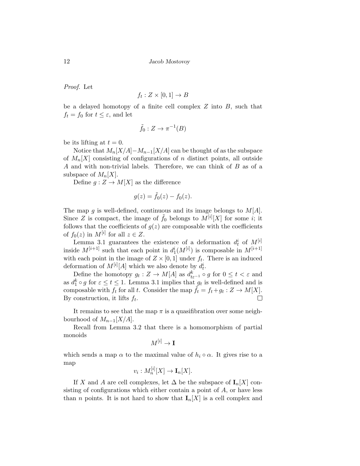Proof. Let

$$
f_t: Z \times [0,1] \to B
$$

be a delayed homotopy of a finite cell complex  $Z$  into  $B$ , such that  $f_t = f_0$  for  $t \leq \varepsilon$ , and let

$$
\tilde{f}_0: Z \to \pi^{-1}(B)
$$

be its lifting at  $t = 0$ .

Notice that  $M_n[X/A]-M_{n-1}[X/A]$  can be thought of as the subspace of  $M_n[X]$  consisting of configurations of n distinct points, all outside A and with non-trivial labels. Therefore, we can think of B as of a subspace of  $M_n[X]$ .

Define  $g: Z \to M[X]$  as the difference

$$
g(z) = \tilde{f}_0(z) - f_0(z).
$$

The map g is well-defined, continuous and its image belongs to  $M[A]$ . Since Z is compact, the image of  $\tilde{f}_0$  belongs to  $M^{[i]}[X]$  for some i; it follows that the coefficients of  $g(z)$  are composable with the coefficients of  $f_0(z)$  in  $M^{[i]}$  for all  $z \in Z$ .

Lemma 3.1 guarantees the existence of a deformation  $d_t^i$  of  $M^{[i]}$ inside  $M^{[i+1]}$  such that each point in  $d_1^i(M^{[i]})$  is composable in  $M^{[i+1]}$ with each point in the image of  $Z \times [0,1]$  under  $f_t$ . There is an induced deformation of  $M^{[i]}[A]$  which we also denote by  $d_t^i$ .

Define the homotopy  $g_t: Z \to M[A]$  as  $d_{t\varepsilon^{-1}}^k \circ g$  for  $0 \le t < \varepsilon$  and as  $d_1^k \circ g$  for  $\varepsilon \le t \le 1$ . Lemma 3.1 implies that  $g_t$  is well-defined and is composable with  $f_t$  for all t. Consider the map  $\tilde{f}_t = f_t + g_t : Z \to M[X]$ . By construction, it lifts  $f_t$ .  $\Box$ 

It remains to see that the map  $\pi$  is a quasifibration over some neighbourhood of  $M_{n-1}[X/A]$ .

Recall from Lemma 3.2 that there is a homomorphism of partial monoids

$$
M^{[i]} \to \mathbf{I}
$$

which sends a map  $\alpha$  to the maximal value of  $h_i \circ \alpha$ . It gives rise to a map

$$
v_i: M_n^{[i]}[X] \to \mathbf{I}_n[X].
$$

If X and A are cell complexes, let  $\Delta$  be the subspace of  $\mathbf{I}_n[X]$  consisting of configurations which either contain a point of  $A$ , or have less than *n* points. It is not hard to show that  $\mathbf{I}_n[X]$  is a cell complex and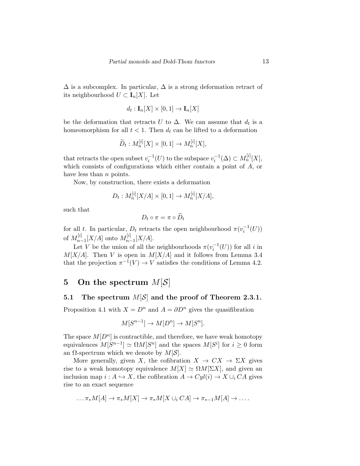$\Delta$  is a subcomplex. In particular,  $\Delta$  is a strong deformation retract of its neighbourhood  $U \subset I_n[X]$ . Let

$$
d_t: \mathbf{I}_n[X] \times [0,1] \to \mathbf{I}_n[X]
$$

be the deformation that retracts U to  $\Delta$ . We can assume that  $d_t$  is a homeomorphism for all  $t < 1$ . Then  $d_t$  can be lifted to a deformation

$$
\widetilde{D}_t: M_n^{[i]}[X] \times [0,1] \to M_n^{[i]}[X],
$$

that retracts the open subset  $v_i^{-1}(U)$  to the subspace  $v_i^{-1}(\Delta) \subset M_n^{[i]}[X]$ , which consists of configurations which either contain a point of A, or have less than  $n$  points.

Now, by construction, there exists a deformation

$$
D_t: M_n^{[i]}[X/A] \times [0,1] \to M_n^{[i]}[X/A],
$$

such that

$$
D_t \circ \pi = \pi \circ \widetilde{D}_t
$$

for all t. In particular,  $D_t$  retracts the open neighbourhood  $\pi(v_i^{-1}(U))$ of  $M_{n-}^{[i]}$  $\binom{[i]}{n-1}[X/A]$  onto  $M^{[i]}_{n-1}$  $\binom{[i]}{n-1}[X/A].$ 

Let V be the union of all the neighbourhoods  $\pi(v_i^{-1}(U))$  for all i in  $M[X/A]$ . Then V is open in  $M[X/A]$  and it follows from Lemma 3.4 that the projection  $\pi^{-1}(V) \to V$  satisfies the conditions of Lemma 4.2.

# 5 On the spectrum  $M[S]$

## 5.1 The spectrum  $M[S]$  and the proof of Theorem 2.3.1.

Proposition 4.1 with  $X = D^n$  and  $A = \partial D^n$  gives the quasifibration

$$
M[S^{n-1}] \to M[D^n] \to M[S^n].
$$

The space  $M[D^n]$  is contractible, and therefore, we have weak homotopy equivalences  $M[S^{n-1}] \simeq \Omega M[S^n]$  and the spaces  $M[S^i]$  for  $i \geq 0$  form an  $\Omega$ -spectrum which we denote by  $M[\mathcal{S}]$ .

More generally, given X, the cofibration  $X \to CX \to \Sigma X$  gives rise to a weak homotopy equivalence  $M[X] \simeq \Omega M[\Sigma X]$ , and given an inclusion map  $i : A \hookrightarrow X$ , the cofibration  $A \to Cyl(i) \to X \cup_i CA$  gives rise to an exact sequence

$$
\dots \pi_* M[A] \to \pi_* M[X] \to \pi_* M[X \cup_i CA] \to \pi_{*-1} M[A] \to \dots
$$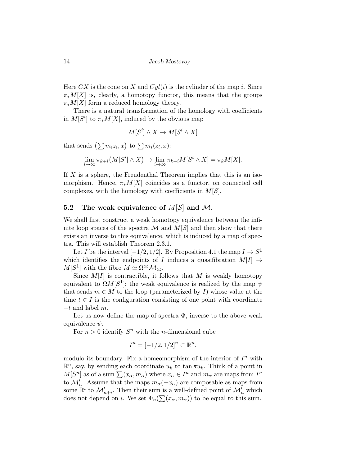Here CX is the cone on X and  $Cyl(i)$  is the cylinder of the map i. Since  $\pi_*M[X]$  is, clearly, a homotopy functor, this means that the groups  $\pi_*M[X]$  form a reduced homology theory.

There is a natural transformation of the homology with coefficients in  $M[S^i]$  to  $\pi_* M[X]$ , induced by the obvious map

$$
M[S^i] \wedge X \to M[S^i \wedge X]
$$

that sends  $(\sum m_i z_i, x)$  to  $\sum m_i(z_i, x)$ :

$$
\lim_{i \to \infty} \pi_{k+i}(M[S^i] \wedge X) \to \lim_{i \to \infty} \pi_{k+i}M[S^i \wedge X] = \pi_kM[X].
$$

If  $X$  is a sphere, the Freudenthal Theorem implies that this is an isomorphism. Hence,  $\pi_*M[X]$  coincides as a functor, on connected cell complexes, with the homology with coefficients in  $M[\mathcal{S}]$ .

### 5.2 The weak equivalence of  $M[S]$  and M.

We shall first construct a weak homotopy equivalence between the infinite loop spaces of the spectra  $\mathcal M$  and  $M[\mathcal S]$  and then show that there exists an inverse to this equivalence, which is induced by a map of spectra. This will establish Theorem 2.3.1.

Let I be the interval  $[-1/2, 1/2]$ . By Proposition 4.1 the map  $I \to S^1$ which identifies the endpoints of I induces a quasifibration  $M[I] \rightarrow$  $M[S^1]$  with the fibre  $M \simeq \Omega^{\infty} \mathcal{M}_{\infty}$ .

Since  $M[I]$  is contractible, it follows that M is weakly homotopy equivalent to  $\Omega M[S^1]$ ; the weak equivalence is realized by the map  $\psi$ that sends  $m \in M$  to the loop (parameterized by I) whose value at the time  $t \in I$  is the configuration consisting of one point with coordinate  $-t$  and label  $m$ .

Let us now define the map of spectra  $\Phi$ , inverse to the above weak equivalence  $\psi$ .

For  $n > 0$  identify  $S<sup>n</sup>$  with the *n*-dimensional cube

$$
I^{n} = [-1/2, 1/2]^{n} \subset \mathbb{R}^{n},
$$

modulo its boundary. Fix a homeomorphism of the interior of  $I<sup>n</sup>$  with  $\mathbb{R}^n$ , say, by sending each coordinate  $u_k$  to tan  $\pi u_k$ . Think of a point in  $M[S^n]$  as of a sum  $\sum (x_\alpha, m_\alpha)$  where  $x_\alpha \in I^n$  and  $m_\alpha$  are maps from  $I^n$ to  $\mathcal{M}'_n$ . Assume that the maps  $m_\alpha(-x_\alpha)$  are composable as maps from some  $\mathbb{R}^i$  to  $\mathcal{M}'_{n+i}$ . Then their sum is a well-defined point of  $\mathcal{M}'_n$  which does not depend on *i*. We set  $\Phi_n(\sum(x_\alpha, m_\alpha))$  to be equal to this sum.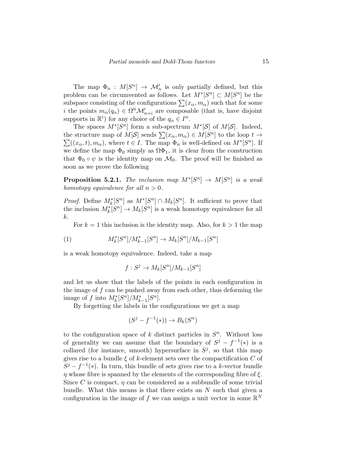The map  $\Phi_n$ :  $M[S^n] \to \mathcal{M}'_n$  is only partially defined, but this problem can be circumvented as follows. Let  $M^*[S^n] \subset M[S^n]$  be the subspace consisting of the configurations  $\sum(x_\alpha, m_\alpha)$  such that for some *i* the points  $m_{\alpha}(q_{\alpha}) \in \Omega^{i} \mathcal{M}'_{n+i}$  are composable (that is, have disjoint supports in  $\mathbb{R}^i$ ) for any choice of the  $q_\alpha \in I^n$ .

The spaces  $M^*[S^n]$  form a sub-spectrum  $M^*[S]$  of  $M[S]$ . Indeed, the structure map of  $M[\mathcal{S}]$  sends  $\sum(x_{\alpha}, m_{\alpha}) \in M[S^n]$  to the loop  $t \to$  $\sum((x_{\alpha},t),m_{\alpha}),$  where  $t \in I$ . The map  $\Phi_n$  is well-defined on  $M^*[S^n]$ . If we define the map  $\Phi_0$  simply as  $\Omega\Phi_1$ , it is clear from the construction that  $\Phi_0 \circ \psi$  is the identity map on  $\mathcal{M}_0$ . The proof will be finished as soon as we prove the following

**Proposition 5.2.1.** The inclusion map  $M^*[S^n] \to M[S^n]$  is a weak homotopy equivalence for all  $n > 0$ .

*Proof.* Define  $M_k^*[S^n]$  as  $M^*[S^n] \cap M_k[S^n]$ . It sufficient to prove that the inclusion  $M_k^*[S^n] \to M_k[S^n]$  is a weak homotopy equivalence for all k.

For  $k = 1$  this inclusion is the identity map. Also, for  $k > 1$  the map

(1) 
$$
M_k^*[S^n]/M_{k-1}^*[S^n] \to M_k[S^n]/M_{k-1}[S^n]
$$

is a weak homotopy equivalence. Indeed, take a map

$$
f: S^j \to M_k[S^n]/M_{k-1}[S^n]
$$

and let us show that the labels of the points in each configuration in the image of  $f$  can be pushed away from each other, thus deforming the image of f into  $M_k^*[S^n]/M_{k-1}^*[S^n]$ .

By forgetting the labels in the configurations we get a map

$$
(S^j - f^{-1}(*)) \to B_k(S^n)
$$

to the configuration space of  $k$  distinct particles in  $S<sup>n</sup>$ . Without loss of generality we can assume that the boundary of  $S^j - f^{-1}(*)$  is a collared (for instance, smooth) hypersurface in  $S^j$ , so that this map gives rise to a bundle  $\xi$  of k-element sets over the compactification C of  $S^{j} - f^{-1}(*)$ . In turn, this bundle of sets gives rise to a k-vector bundle  $\eta$  whose fibre is spanned by the elements of the corresponding fibre of  $\xi$ . Since C is compact,  $\eta$  can be considered as a subbundle of some trivial bundle. What this means is that there exists an  $N$  such that given a configuration in the image of f we can assign a unit vector in some  $\mathbb{R}^N$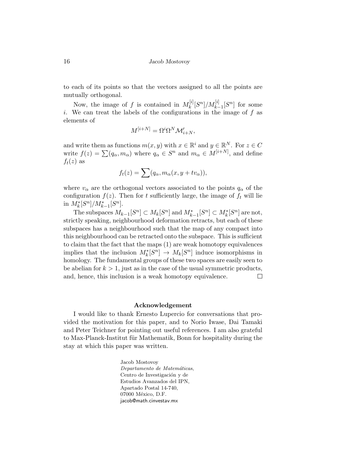to each of its points so that the vectors assigned to all the points are mutually orthogonal.

Now, the image of f is contained in  $M_k^{[i]}$  $\binom{[i]}{k} [S^n] / M^{[i]}_{k-1} [S^n]$  for some i. We can treat the labels of the configurations in the image of  $f$  as elements of

$$
M^{[i+N]} = \Omega^i \Omega^N \mathcal{M}'_{i+N},
$$

and write them as functions  $m(x, y)$  with  $x \in \mathbb{R}^i$  and  $y \in \mathbb{R}^N$ . For  $z \in C$ write  $f(z) = \sum (q_\alpha, m_\alpha)$  where  $q_\alpha \in S^n$  and  $m_\alpha \in M^{[i+N]}$ , and define  $f_t(z)$  as

$$
f_t(z) = \sum (q_\alpha, m_\alpha(x, y + tv_\alpha)),
$$

where  $v_{\alpha}$  are the orthogonal vectors associated to the points  $q_{\alpha}$  of the configuration  $f(z)$ . Then for t sufficiently large, the image of  $f_t$  will lie in  $M_k^*[S^n]/M_{k-1}^*[S^n]$ .

The subspaces  $M_{k-1}[S^n] \subset M_k[S^n]$  and  $M_{k-1}^*[S^n] \subset M_k^*[S^n]$  are not, strictly speaking, neighbourhood deformation retracts, but each of these subspaces has a neighbourhood such that the map of any compact into this neighbourhood can be retracted onto the subspace. This is sufficient to claim that the fact that the maps (1) are weak homotopy equivalences implies that the inclusion  $M_k^*[S^n] \to M_k[S^n]$  induce isomorphisms in homology. The fundamental groups of these two spaces are easily seen to be abelian for  $k > 1$ , just as in the case of the usual symmetric products, and, hence, this inclusion is a weak homotopy equivalence.  $\Box$ 

#### Acknowledgement

I would like to thank Ernesto Lupercio for conversations that provided the motivation for this paper, and to Norio Iwase, Dai Tamaki and Peter Teichner for pointing out useful references. I am also grateful to Max-Planck-Institut für Mathematik, Bonn for hospitality during the stay at which this paper was written.

> Jacob Mostovoy Departamento de Matemáticas, Centro de Investigación y de Estudios Avanzados del IPN, Apartado Postal 14-740, 07000 México, D.F. jacob@math.cinvestav.mx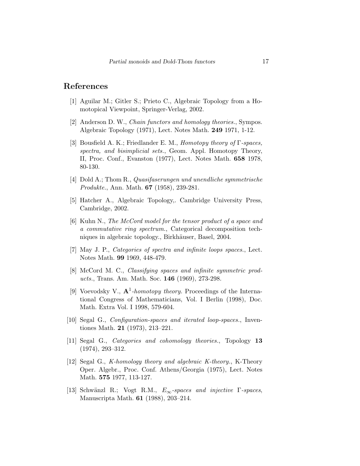## References

- [1] Aguilar M.; Gitler S.; Prieto C., Algebraic Topology from a Homotopical Viewpoint, Springer-Verlag, 2002.
- [2] Anderson D. W., Chain functors and homology theories., Sympos. Algebraic Topology (1971), Lect. Notes Math. 249 1971, 1-12.
- [3] Bousfield A. K.; Friedlander E. M., Homotopy theory of Γ-spaces, spectra, and bisimplicial sets., Geom. Appl. Homotopy Theory, II, Proc. Conf., Evanston (1977), Lect. Notes Math. 658 1978, 80-130.
- [4] Dold A.; Thom R., Quasifaserungen und unendliche symmetrische Produkte., Ann. Math. 67 (1958), 239-281.
- [5] Hatcher A., Algebraic Topology,. Cambridge University Press, Cambridge, 2002.
- [6] Kuhn N., The McCord model for the tensor product of a space and a commutative ring spectrum., Categorical decomposition techniques in algebraic topology., Birkhäuser, Basel, 2004.
- [7] May J. P., Categories of spectra and infinite loops spaces., Lect. Notes Math. 99 1969, 448-479.
- [8] McCord M. C., Classifying spaces and infinite symmetric products., Trans. Am. Math. Soc. 146 (1969), 273-298.
- [9] Voevodsky V.,  $\mathbf{A}^1$ -homotopy theory. Proceedings of the International Congress of Mathematicians, Vol. I Berlin (1998), Doc. Math. Extra Vol. I 1998, 579-604.
- [10] Segal G., *Configuration-spaces and iterated loop-spaces.*, Inventiones Math. 21 (1973), 213–221.
- [11] Segal G., Categories and cohomology theories., Topology 13 (1974), 293–312.
- [12] Segal G., K-homology theory and algebraic K-theory., K-Theory Oper. Algebr., Proc. Conf. Athens/Georgia (1975), Lect. Notes Math. 575 1977, 113-127.
- [13] Schwänzl R.; Vogt R.M.,  $E_{\infty}$ -spaces and injective Γ-spaces, Manuscripta Math. 61 (1988), 203–214.